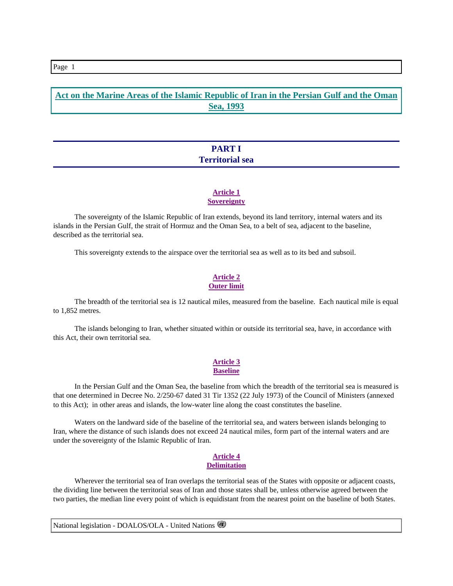# **Act on the Marine Areas of the Islamic Republic of Iran in the Persian Gulf and the Oman Sea, 1993**

# **PART I Territorial sea**

## **Article 1 Sovereignty**

 The sovereignty of the Islamic Republic of Iran extends, beyond its land territory, internal waters and its islands in the Persian Gulf, the strait of Hormuz and the Oman Sea, to a belt of sea, adjacent to the baseline, described as the territorial sea.

This sovereignty extends to the airspace over the territorial sea as well as to its bed and subsoil.

## **Article 2 Outer limit**

 The breadth of the territorial sea is 12 nautical miles, measured from the baseline. Each nautical mile is equal to 1,852 metres.

 The islands belonging to Iran, whether situated within or outside its territorial sea, have, in accordance with this Act, their own territorial sea.

# **Article 3**

## **Baseline**

 In the Persian Gulf and the Oman Sea, the baseline from which the breadth of the territorial sea is measured is that one determined in Decree No. 2/250-67 dated 31 Tir 1352 (22 July 1973) of the Council of Ministers (annexed to this Act); in other areas and islands, the low-water line along the coast constitutes the baseline.

 Waters on the landward side of the baseline of the territorial sea, and waters between islands belonging to Iran, where the distance of such islands does not exceed 24 nautical miles, form part of the internal waters and are under the sovereignty of the Islamic Republic of Iran.

#### **Article 4 Delimitation**

 Wherever the territorial sea of Iran overlaps the territorial seas of the States with opposite or adjacent coasts, the dividing line between the territorial seas of Iran and those states shall be, unless otherwise agreed between the two parties, the median line every point of which is equidistant from the nearest point on the baseline of both States.

National legislation - DOALOS/OLA - United Nations

#### Page 1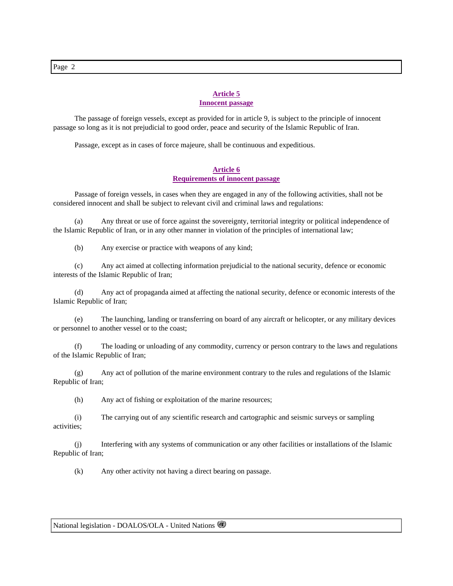#### **Article 5**

## **Innocent passage**

 The passage of foreign vessels, except as provided for in article 9, is subject to the principle of innocent passage so long as it is not prejudicial to good order, peace and security of the Islamic Republic of Iran.

Passage, except as in cases of force majeure, shall be continuous and expeditious.

## **Article 6 Requirements of innocent passage**

 Passage of foreign vessels, in cases when they are engaged in any of the following activities, shall not be considered innocent and shall be subject to relevant civil and criminal laws and regulations:

 (a) Any threat or use of force against the sovereignty, territorial integrity or political independence of the Islamic Republic of Iran, or in any other manner in violation of the principles of international law;

(b) Any exercise or practice with weapons of any kind;

 (c) Any act aimed at collecting information prejudicial to the national security, defence or economic interests of the Islamic Republic of Iran;

 (d) Any act of propaganda aimed at affecting the national security, defence or economic interests of the Islamic Republic of Iran;

 (e) The launching, landing or transferring on board of any aircraft or helicopter, or any military devices or personnel to another vessel or to the coast;

 (f) The loading or unloading of any commodity, currency or person contrary to the laws and regulations of the Islamic Republic of Iran;

 (g) Any act of pollution of the marine environment contrary to the rules and regulations of the Islamic Republic of Iran;

(h) Any act of fishing or exploitation of the marine resources;

 (i) The carrying out of any scientific research and cartographic and seismic surveys or sampling activities;

 (j) Interfering with any systems of communication or any other facilities or installations of the Islamic Republic of Iran;

(k) Any other activity not having a direct bearing on passage.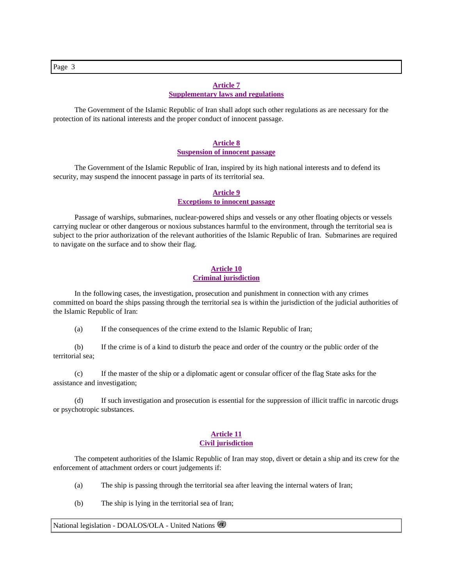## **Article 7 Supplementary laws and regulations**

 The Government of the Islamic Republic of Iran shall adopt such other regulations as are necessary for the protection of its national interests and the proper conduct of innocent passage.

#### **Article 8 Suspension of innocent passage**

 The Government of the Islamic Republic of Iran, inspired by its high national interests and to defend its security, may suspend the innocent passage in parts of its territorial sea.

#### **Article 9 Exceptions to innocent passage**

 Passage of warships, submarines, nuclear-powered ships and vessels or any other floating objects or vessels carrying nuclear or other dangerous or noxious substances harmful to the environment, through the territorial sea is subject to the prior authorization of the relevant authorities of the Islamic Republic of Iran. Submarines are required to navigate on the surface and to show their flag.

## **Article 10 Criminal jurisdiction**

 In the following cases, the investigation, prosecution and punishment in connection with any crimes committed on board the ships passing through the territorial sea is within the jurisdiction of the judicial authorities of the Islamic Republic of Iran:

(a) If the consequences of the crime extend to the Islamic Republic of Iran;

 (b) If the crime is of a kind to disturb the peace and order of the country or the public order of the territorial sea;

 (c) If the master of the ship or a diplomatic agent or consular officer of the flag State asks for the assistance and investigation;

 (d) If such investigation and prosecution is essential for the suppression of illicit traffic in narcotic drugs or psychotropic substances.

## **Article 11**

## **Civil jurisdiction**

 The competent authorities of the Islamic Republic of Iran may stop, divert or detain a ship and its crew for the enforcement of attachment orders or court judgements if:

(a) The ship is passing through the territorial sea after leaving the internal waters of Iran;

(b) The ship is lying in the territorial sea of Iran;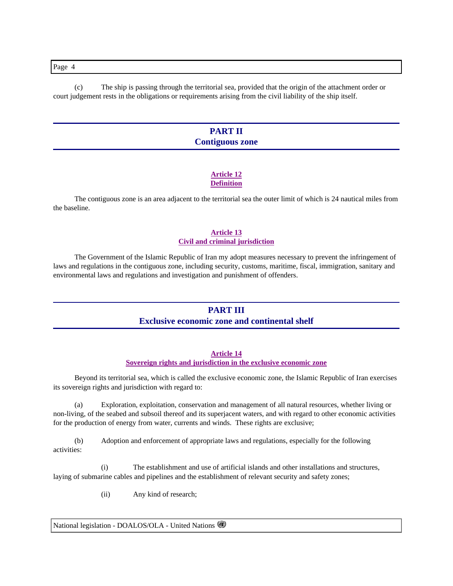Page 4

 (c) The ship is passing through the territorial sea, provided that the origin of the attachment order or court judgement rests in the obligations or requirements arising from the civil liability of the ship itself.

# **PART II Contiguous zone**

## **Article 12 Definition**

 The contiguous zone is an area adjacent to the territorial sea the outer limit of which is 24 nautical miles from the baseline.

## **Article 13 Civil and criminal jurisdiction**

 The Government of the Islamic Republic of Iran my adopt measures necessary to prevent the infringement of laws and regulations in the contiguous zone, including security, customs, maritime, fiscal, immigration, sanitary and environmental laws and regulations and investigation and punishment of offenders.

## **PART III**

## **Exclusive economic zone and continental shelf**

## **Article 14**

## **Sovereign rights and jurisdiction in the exclusive economic zone**

 Beyond its territorial sea, which is called the exclusive economic zone, the Islamic Republic of Iran exercises its sovereign rights and jurisdiction with regard to:

 (a) Exploration, exploitation, conservation and management of all natural resources, whether living or non-living, of the seabed and subsoil thereof and its superjacent waters, and with regard to other economic activities for the production of energy from water, currents and winds. These rights are exclusive;

 (b) Adoption and enforcement of appropriate laws and regulations, especially for the following activities:

 (i) The establishment and use of artificial islands and other installations and structures, laying of submarine cables and pipelines and the establishment of relevant security and safety zones;

(ii) Any kind of research;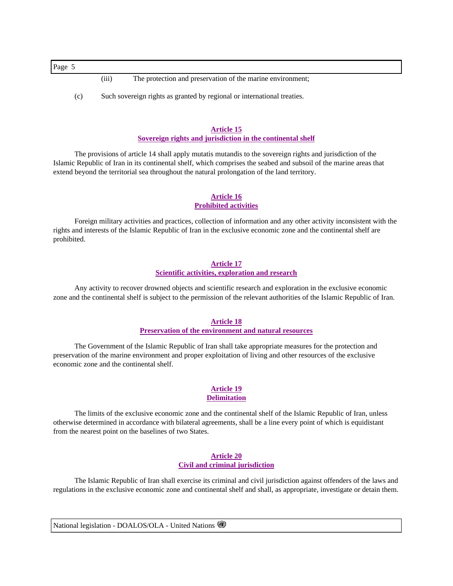Page 5

- (iii) The protection and preservation of the marine environment;
- (c) Such sovereign rights as granted by regional or international treaties.

# **Article 15**

## **Sovereign rights and jurisdiction in the continental shelf**

 The provisions of article 14 shall apply mutatis mutandis to the sovereign rights and jurisdiction of the Islamic Republic of Iran in its continental shelf, which comprises the seabed and subsoil of the marine areas that extend beyond the territorial sea throughout the natural prolongation of the land territory.

## **Article 16 Prohibited activities**

 Foreign military activities and practices, collection of information and any other activity inconsistent with the rights and interests of the Islamic Republic of Iran in the exclusive economic zone and the continental shelf are prohibited.

# **Article 17**

## **Scientific activities, exploration and research**

 Any activity to recover drowned objects and scientific research and exploration in the exclusive economic zone and the continental shelf is subject to the permission of the relevant authorities of the Islamic Republic of Iran.

## **Article 18**

## **Preservation of the environment and natural resources**

 The Government of the Islamic Republic of Iran shall take appropriate measures for the protection and preservation of the marine environment and proper exploitation of living and other resources of the exclusive economic zone and the continental shelf.

#### **Article 19 Delimitation**

 The limits of the exclusive economic zone and the continental shelf of the Islamic Republic of Iran, unless otherwise determined in accordance with bilateral agreements, shall be a line every point of which is equidistant from the nearest point on the baselines of two States.

## **Article 20 Civil and criminal jurisdiction**

 The Islamic Republic of Iran shall exercise its criminal and civil jurisdiction against offenders of the laws and regulations in the exclusive economic zone and continental shelf and shall, as appropriate, investigate or detain them.